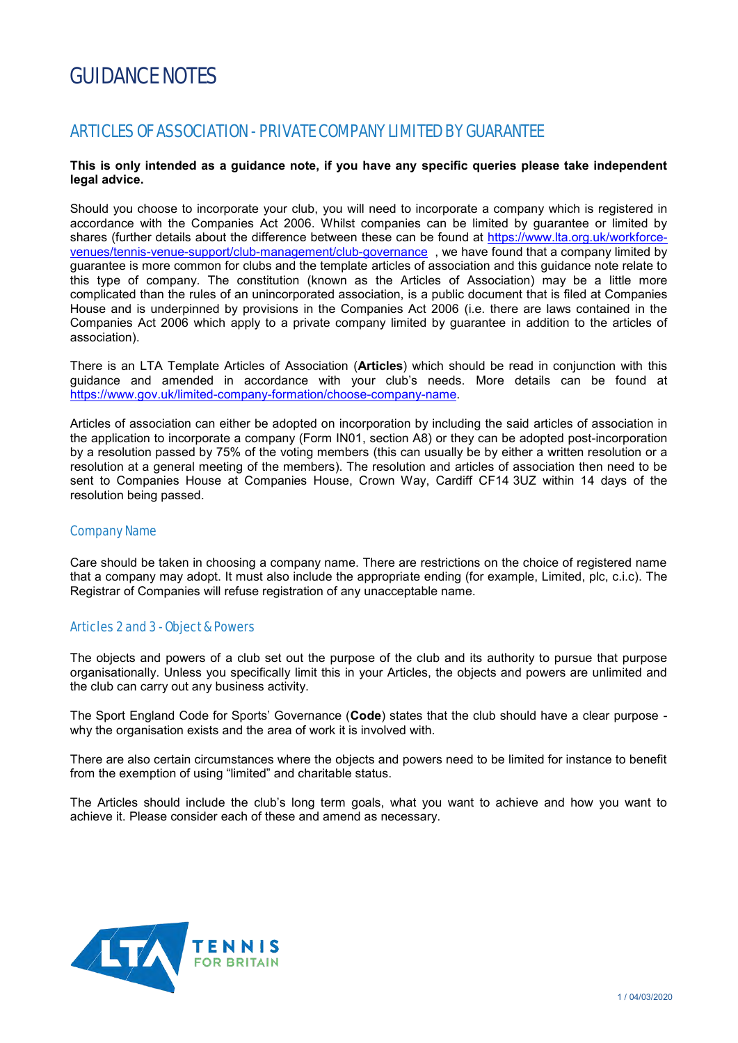# GUIDANCE NOTES

## ARTICLES OF ASSOCIATION - PRIVATE COMPANY LIMITED BY GUARANTEE

## **This is only intended as a guidance note, if you have any specific queries please take independent legal advice.**

Should you choose to incorporate your club, you will need to incorporate a company which is registered in accordance with the Companies Act 2006. Whilst companies can be limited by guarantee or limited by shares (further details about the difference between these can be found at [https://www.lta.org.uk/workforce](https://www.lta.org.uk/workforce-venues/tennis-venue-support/club-management/club-governance)[venues/tennis-venue-support/club-management/club-governance](https://www.lta.org.uk/workforce-venues/tennis-venue-support/club-management/club-governance) , we have found that a company limited by guarantee is more common for clubs and the template articles of association and this guidance note relate to this type of company. The constitution (known as the Articles of Association) may be a little more complicated than the rules of an unincorporated association, is a public document that is filed at Companies House and is underpinned by provisions in the Companies Act 2006 (i.e. there are laws contained in the Companies Act 2006 which apply to a private company limited by guarantee in addition to the articles of association).

There is an LTA Template Articles of Association (**Articles**) which should be read in conjunction with this guidance and amended in accordance with your club's needs. More details can be found at [https://www.gov.uk/limited-company-formation/choose-company-name.](https://www.gov.uk/limited-company-formation/choose-company-name)

Articles of association can either be adopted on incorporation by including the said articles of association in the application to incorporate a company (Form IN01, section A8) or they can be adopted post-incorporation by a resolution passed by 75% of the voting members (this can usually be by either a written resolution or a resolution at a general meeting of the members). The resolution and articles of association then need to be sent to Companies House at Companies House, Crown Way, Cardiff CF14 3UZ within 14 days of the resolution being passed.

## Company Name

Care should be taken in choosing a company name. There are restrictions on the choice of registered name that a company may adopt. It must also include the appropriate ending (for example, Limited, plc, c.i.c). The Registrar of Companies will refuse registration of any unacceptable name.

## Articles 2 and 3 - Object & Powers

The objects and powers of a club set out the purpose of the club and its authority to pursue that purpose organisationally. Unless you specifically limit this in your Articles, the objects and powers are unlimited and the club can carry out any business activity.

The Sport England Code for Sports' Governance (**Code**) states that the club should have a clear purpose why the organisation exists and the area of work it is involved with.

There are also certain circumstances where the objects and powers need to be limited for instance to benefit from the exemption of using "limited" and charitable status.

The Articles should include the club's long term goals, what you want to achieve and how you want to achieve it. Please consider each of these and amend as necessary.

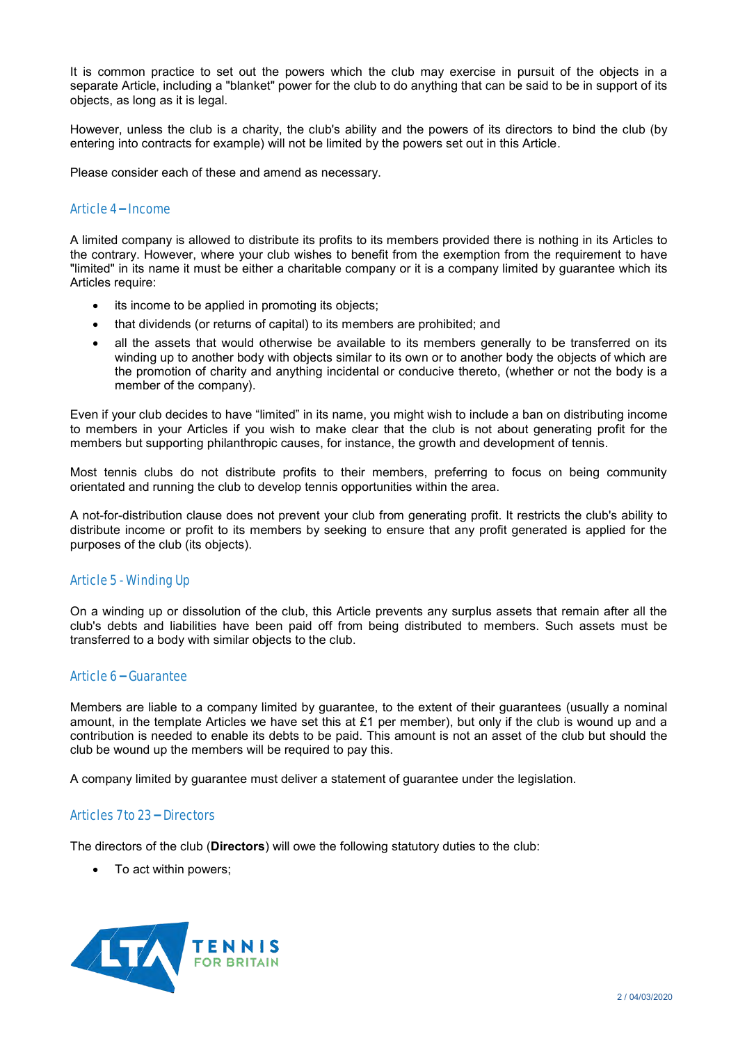It is common practice to set out the powers which the club may exercise in pursuit of the objects in a separate Article, including a "blanket" power for the club to do anything that can be said to be in support of its objects, as long as it is legal.

However, unless the club is a charity, the club's ability and the powers of its directors to bind the club (by entering into contracts for example) will not be limited by the powers set out in this Article.

Please consider each of these and amend as necessary.

## Article 4 – Income

A limited company is allowed to distribute its profits to its members provided there is nothing in its Articles to the contrary. However, where your club wishes to benefit from the exemption from the requirement to have "limited" in its name it must be either a charitable company or it is a company limited by guarantee which its Articles require:

- its income to be applied in promoting its objects;
- that dividends (or returns of capital) to its members are prohibited; and
- all the assets that would otherwise be available to its members generally to be transferred on its winding up to another body with objects similar to its own or to another body the objects of which are the promotion of charity and anything incidental or conducive thereto, (whether or not the body is a member of the company).

Even if your club decides to have "limited" in its name, you might wish to include a ban on distributing income to members in your Articles if you wish to make clear that the club is not about generating profit for the members but supporting philanthropic causes, for instance, the growth and development of tennis.

Most tennis clubs do not distribute profits to their members, preferring to focus on being community orientated and running the club to develop tennis opportunities within the area.

A not-for-distribution clause does not prevent your club from generating profit. It restricts the club's ability to distribute income or profit to its members by seeking to ensure that any profit generated is applied for the purposes of the club (its objects).

## Article 5 - Winding Up

On a winding up or dissolution of the club, this Article prevents any surplus assets that remain after all the club's debts and liabilities have been paid off from being distributed to members. Such assets must be transferred to a body with similar objects to the club.

## Article 6 – Guarantee

Members are liable to a company limited by guarantee, to the extent of their guarantees (usually a nominal amount, in the template Articles we have set this at £1 per member), but only if the club is wound up and a contribution is needed to enable its debts to be paid. This amount is not an asset of the club but should the club be wound up the members will be required to pay this.

A company limited by guarantee must deliver a statement of guarantee under the legislation.

## Articles 7 to 23 – Directors

The directors of the club (**Directors**) will owe the following statutory duties to the club:

• To act within powers;

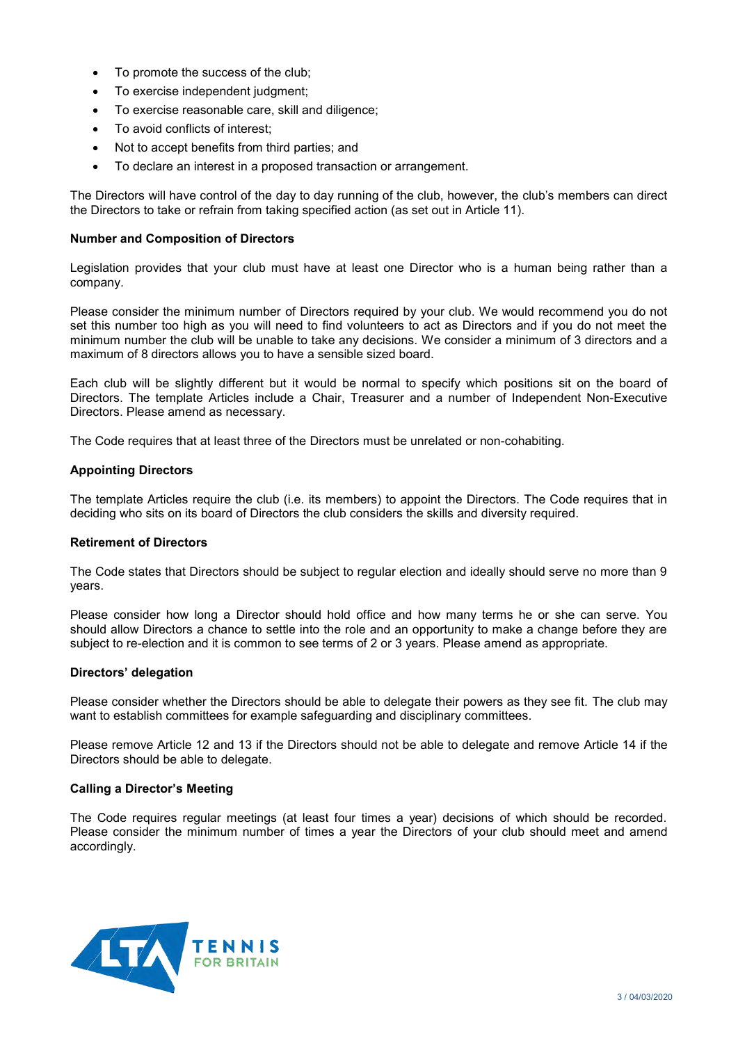- To promote the success of the club;
- To exercise independent judgment;
- To exercise reasonable care, skill and diligence;
- To avoid conflicts of interest;
- Not to accept benefits from third parties; and
- To declare an interest in a proposed transaction or arrangement.

The Directors will have control of the day to day running of the club, however, the club's members can direct the Directors to take or refrain from taking specified action (as set out in Article 11).

#### **Number and Composition of Directors**

Legislation provides that your club must have at least one Director who is a human being rather than a company.

Please consider the minimum number of Directors required by your club. We would recommend you do not set this number too high as you will need to find volunteers to act as Directors and if you do not meet the minimum number the club will be unable to take any decisions. We consider a minimum of 3 directors and a maximum of 8 directors allows you to have a sensible sized board.

Each club will be slightly different but it would be normal to specify which positions sit on the board of Directors. The template Articles include a Chair, Treasurer and a number of Independent Non-Executive Directors. Please amend as necessary.

The Code requires that at least three of the Directors must be unrelated or non-cohabiting.

## **Appointing Directors**

The template Articles require the club (i.e. its members) to appoint the Directors. The Code requires that in deciding who sits on its board of Directors the club considers the skills and diversity required.

#### **Retirement of Directors**

The Code states that Directors should be subject to regular election and ideally should serve no more than 9 years.

Please consider how long a Director should hold office and how many terms he or she can serve. You should allow Directors a chance to settle into the role and an opportunity to make a change before they are subject to re-election and it is common to see terms of 2 or 3 years. Please amend as appropriate.

## **Directors' delegation**

Please consider whether the Directors should be able to delegate their powers as they see fit. The club may want to establish committees for example safeguarding and disciplinary committees.

Please remove Article 12 and 13 if the Directors should not be able to delegate and remove Article 14 if the Directors should be able to delegate.

## **Calling a Director's Meeting**

The Code requires regular meetings (at least four times a year) decisions of which should be recorded. Please consider the minimum number of times a year the Directors of your club should meet and amend accordingly.

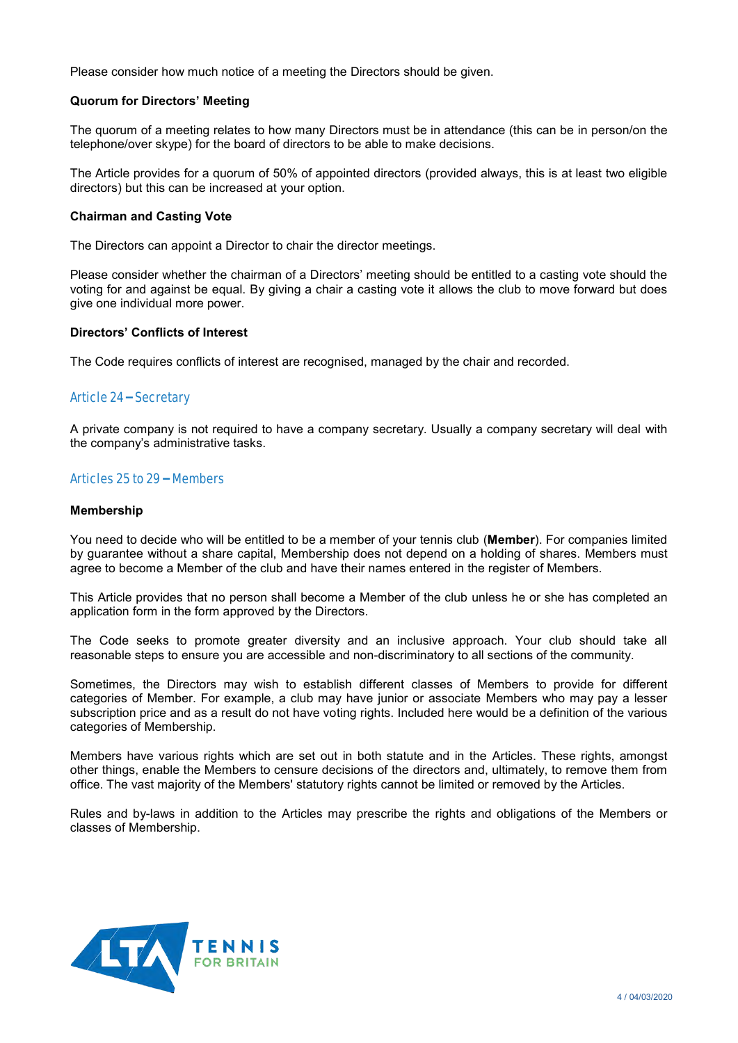Please consider how much notice of a meeting the Directors should be given.

#### **Quorum for Directors' Meeting**

The quorum of a meeting relates to how many Directors must be in attendance (this can be in person/on the telephone/over skype) for the board of directors to be able to make decisions.

The Article provides for a quorum of 50% of appointed directors (provided always, this is at least two eligible directors) but this can be increased at your option.

#### **Chairman and Casting Vote**

The Directors can appoint a Director to chair the director meetings.

Please consider whether the chairman of a Directors' meeting should be entitled to a casting vote should the voting for and against be equal. By giving a chair a casting vote it allows the club to move forward but does give one individual more power.

#### **Directors' Conflicts of Interest**

The Code requires conflicts of interest are recognised, managed by the chair and recorded.

## Article 24 – Secretary

A private company is not required to have a company secretary. Usually a company secretary will deal with the company's administrative tasks.

## Articles 25 to 29 – Members

#### **Membership**

You need to decide who will be entitled to be a member of your tennis club (**Member**). For companies limited by guarantee without a share capital, Membership does not depend on a holding of shares. Members must agree to become a Member of the club and have their names entered in the register of Members.

This Article provides that no person shall become a Member of the club unless he or she has completed an application form in the form approved by the Directors.

The Code seeks to promote greater diversity and an inclusive approach. Your club should take all reasonable steps to ensure you are accessible and non-discriminatory to all sections of the community.

Sometimes, the Directors may wish to establish different classes of Members to provide for different categories of Member. For example, a club may have junior or associate Members who may pay a lesser subscription price and as a result do not have voting rights. Included here would be a definition of the various categories of Membership.

Members have various rights which are set out in both statute and in the Articles. These rights, amongst other things, enable the Members to censure decisions of the directors and, ultimately, to remove them from office. The vast majority of the Members' statutory rights cannot be limited or removed by the Articles.

Rules and by-laws in addition to the Articles may prescribe the rights and obligations of the Members or classes of Membership.

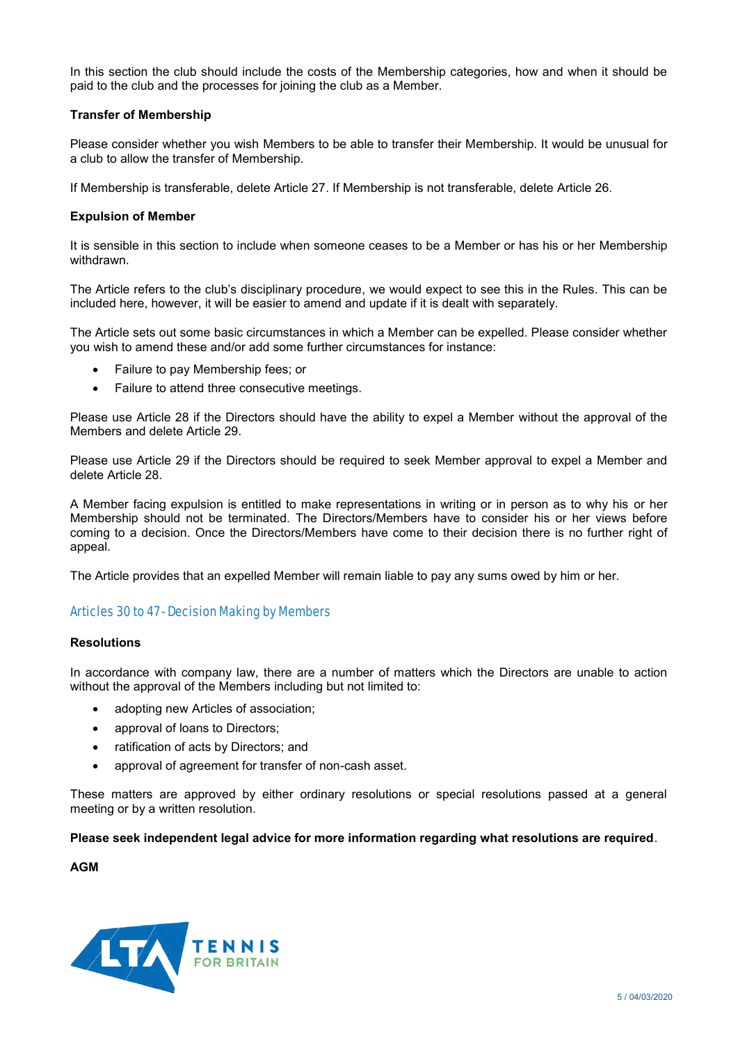In this section the club should include the costs of the Membership categories, how and when it should be paid to the club and the processes for joining the club as a Member.

## **Transfer of Membership**

Please consider whether you wish Members to be able to transfer their Membership. It would be unusual for a club to allow the transfer of Membership.

If Membership is transferable, delete Article 27. If Membership is not transferable, delete Article 26.

## **Expulsion of Member**

It is sensible in this section to include when someone ceases to be a Member or has his or her Membership withdrawn.

The Article refers to the club's disciplinary procedure, we would expect to see this in the Rules. This can be included here, however, it will be easier to amend and update if it is dealt with separately.

The Article sets out some basic circumstances in which a Member can be expelled. Please consider whether you wish to amend these and/or add some further circumstances for instance:

- Failure to pay Membership fees; or
- Failure to attend three consecutive meetings.

Please use Article 28 if the Directors should have the ability to expel a Member without the approval of the Members and delete Article 29.

Please use Article 29 if the Directors should be required to seek Member approval to expel a Member and delete Article 28.

A Member facing expulsion is entitled to make representations in writing or in person as to why his or her Membership should not be terminated. The Directors/Members have to consider his or her views before coming to a decision. Once the Directors/Members have come to their decision there is no further right of appeal.

The Article provides that an expelled Member will remain liable to pay any sums owed by him or her.

## Articles 30 to 47 - Decision Making by Members

## **Resolutions**

In accordance with company law, there are a number of matters which the Directors are unable to action without the approval of the Members including but not limited to:

- adopting new Articles of association;
- approval of loans to Directors:
- ratification of acts by Directors; and
- approval of agreement for transfer of non-cash asset.

These matters are approved by either ordinary resolutions or special resolutions passed at a general meeting or by a written resolution.

**Please seek independent legal advice for more information regarding what resolutions are required**.

**AGM**